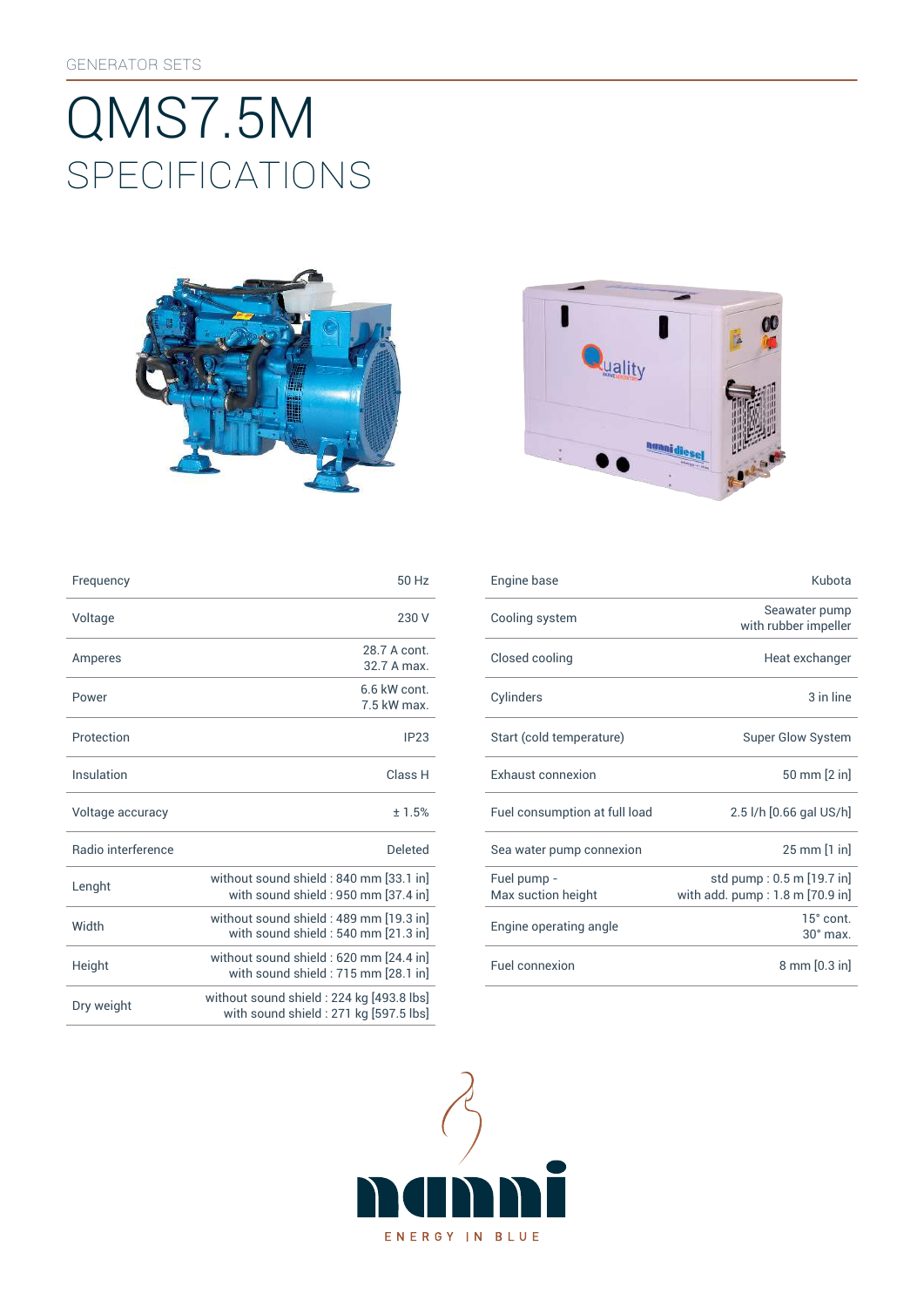# SpEcificATiONS QMS7.5M





| Frequency          | 50 Hz                                                                             | Engine base                       | Kubota                                                       |
|--------------------|-----------------------------------------------------------------------------------|-----------------------------------|--------------------------------------------------------------|
| Voltage            | 230 V                                                                             | Cooling system                    | Seawater pump<br>with rubber impeller                        |
| Amperes            | 28.7 A cont.<br>32.7 A max.                                                       | Closed cooling                    | Heat exchanger                                               |
| Power              | 6.6 kW cont.<br>7.5 kW max.                                                       | Cylinders                         | 3 in line                                                    |
| Protection         | IP23                                                                              | Start (cold temperature)          | <b>Super Glow System</b>                                     |
| Insulation         | Class H                                                                           | Exhaust connexion                 | 50 mm [2 in]                                                 |
| Voltage accuracy   | ±1.5%                                                                             | Fuel consumption at full load     | 2.5 l/h [0.66 gal US/h]                                      |
| Radio interference | <b>Deleted</b>                                                                    | Sea water pump connexion          | 25 mm [1 in]                                                 |
| Lenght             | without sound shield : 840 mm [33.1 in]<br>with sound shield : 950 mm [37.4 in]   | Fuel pump -<br>Max suction height | std pump: 0.5 m [19.7 in]<br>with add. pump: 1.8 m [70.9 in] |
| Width              | without sound shield: 489 mm [19.3 in]<br>with sound shield : 540 mm [21.3 in]    | Engine operating angle            | 15° cont<br>30° max.                                         |
| Height             | without sound shield: 620 mm [24.4 in]<br>with sound shield : 715 mm [28.1 in]    | Fuel connexion                    | 8 mm [0.3 in]                                                |
| Dry weight         | without sound shield: 224 kg [493.8 lbs]<br>with sound shield: 271 kg [597.5 lbs] |                                   |                                                              |

| Frequency          | 50 Hz                                                                          | Engine base                       | Kubota                                                                |
|--------------------|--------------------------------------------------------------------------------|-----------------------------------|-----------------------------------------------------------------------|
| Voltage            | 230 V                                                                          | Cooling system                    | Seawater pump<br>with rubber impeller                                 |
| Amperes            | 28.7 A cont.<br>32.7 A max.                                                    | Closed cooling                    | Heat exchanger                                                        |
| Power              | 6.6 kW cont.<br>7.5 kW max.                                                    | Cylinders                         | 3 in line                                                             |
| Protection         | IP23                                                                           | Start (cold temperature)          | <b>Super Glow System</b>                                              |
| Insulation         | Class H                                                                        | Exhaust connexion                 | 50 mm [2 in]                                                          |
| Voltage accuracy   | ±1.5%                                                                          | Fuel consumption at full load     | 2.5 l/h [0.66 gal US/h]                                               |
| Radio interference | <b>Deleted</b>                                                                 | Sea water pump connexion          | 25 mm [1 in]                                                          |
| Lenght             | without sound shield: 840 mm [33.1 in]<br>with sound shield : 950 mm [37.4 in] | Fuel pump -<br>Max suction height | std pump: 0.5 m [19.7 in]<br>with add. $pump:1.8 \text{ m}$ [70.9 in] |
| Width              | without sound shield: 489 mm [19.3 in]<br>with sound shield: 540 mm [21.3 in]  | Engine operating angle            | $15^\circ$ cont.<br>$30^\circ$ max.                                   |
| Height             | without sound shield: 620 mm [24.4 in]<br>with sound shield : 715 mm [28.1 in] | Fuel connexion                    | 8 mm [0.3 in]                                                         |